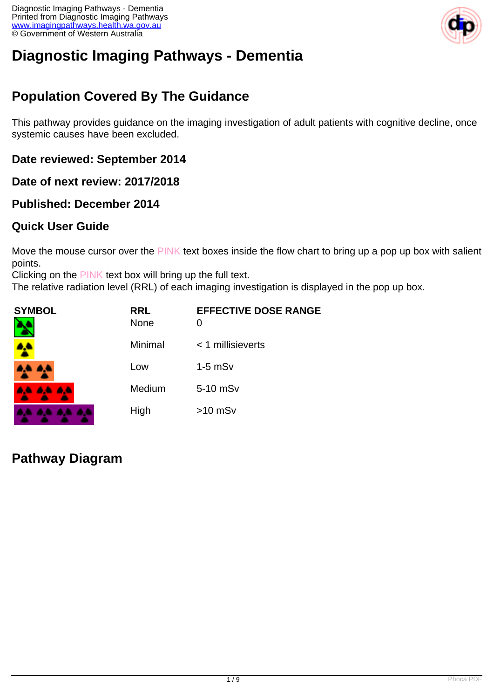

# **Diagnostic Imaging Pathways - Dementia**

# **Population Covered By The Guidance**

This pathway provides guidance on the imaging investigation of adult patients with cognitive decline, once systemic causes have been excluded.

#### **Date reviewed: September 2014**

**Date of next review: 2017/2018**

#### **Published: December 2014**

#### **Quick User Guide**

Move the mouse cursor over the PINK text boxes inside the flow chart to bring up a pop up box with salient points.

Clicking on the PINK text box will bring up the full text.

The relative radiation level (RRL) of each imaging investigation is displayed in the pop up box.

| SYMBOL   | <b>RRL</b><br><b>None</b> | <b>EFFECTIVE DOSE RANGE</b><br>O |
|----------|---------------------------|----------------------------------|
|          | Minimal                   | $<$ 1 millisieverts              |
| 4A 4A    | Low                       | $1-5$ mS $v$                     |
| 4A 4A 4A | Medium                    | 5-10 mSv                         |
|          | High                      | $>10$ mSv                        |

**Pathway Diagram**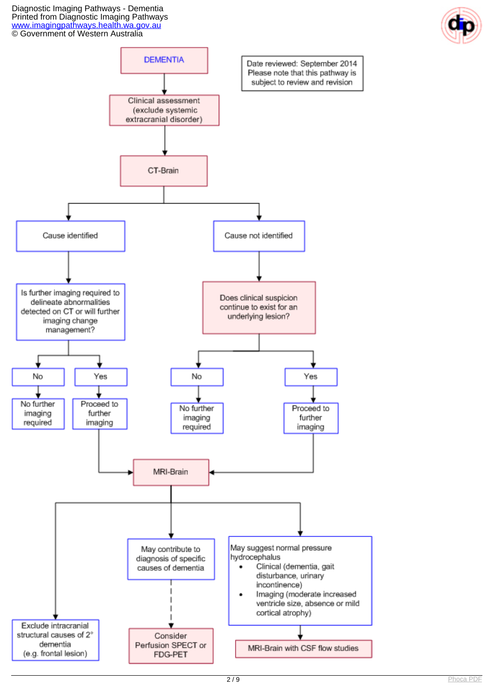Diagnostic Imaging Pathways - Dementia Printed from Diagnostic Imaging Pathways [www.imagingpathways.health.wa.gov.au](http://www.imagingpathways.health.wa.gov.au/) © Government of Western Australia



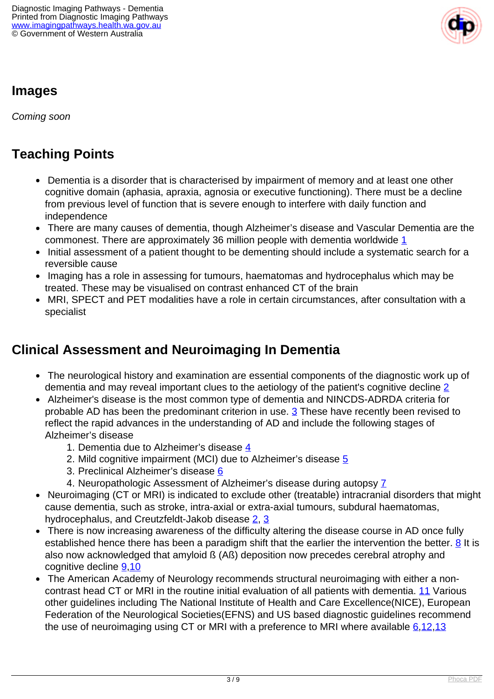

### **Images**

Coming soon

# **Teaching Points**

- Dementia is a disorder that is characterised by impairment of memory and at least one other cognitive domain (aphasia, apraxia, agnosia or executive functioning). There must be a decline from previous level of function that is severe enough to interfere with daily function and independence
- There are many causes of dementia, though Alzheimer's disease and Vascular Dementia are the commonest. There are approximately 36 million people with dementia worldwide [1](index.php?option=com_content&view=article&id=86&tab=references#1)
- Initial assessment of a patient thought to be dementing should include a systematic search for a reversible cause
- Imaging has a role in assessing for tumours, haematomas and hydrocephalus which may be treated. These may be visualised on contrast enhanced CT of the brain
- MRI, SPECT and PET modalities have a role in certain circumstances, after consultation with a specialist

### **Clinical Assessment and Neuroimaging In Dementia**

- The neurological history and examination are essential components of the diagnostic work up of dementia and may reveal important clues to the aetiology of the patient's cognitive decline [2](index.php?option=com_content&view=article&id=86&tab=references#2)
- Alzheimer's disease is the most common type of dementia and NINCDS-ADRDA criteria for probable AD has been the predominant criterion in use.  $3$  These have recently been revised to reflect the rapid advances in the understanding of AD and include the following stages of Alzheimer's disease
	- 1. Dementia due to Alzheimer's disease [4](index.php?option=com_content&view=article&id=86&tab=references#4)
	- 2. Mild cognitive impairment (MCI) due to Alzheimer's disease [5](index.php?option=com_content&view=article&id=86&tab=references#5)
	- 3. Preclinical Alzheimer's disease [6](index.php?option=com_content&view=article&id=86&tab=references#6)
	- 4. Neuropathologic Assessment of Alzheimer's disease during autopsy [7](index.php?option=com_content&view=article&id=86&tab=references#7)
- Neuroimaging (CT or MRI) is indicated to exclude other (treatable) intracranial disorders that might  $\bullet$ cause dementia, such as stroke, intra-axial or extra-axial tumours, subdural haematomas, hydrocephalus, and Creutzfeldt-Jakob disease [2,](index.php?option=com_content&view=article&id=86&tab=references#2) [3](index.php?option=com_content&view=article&id=86&tab=references#3)
- There is now increasing awareness of the difficulty altering the disease course in AD once fully established hence there has been a paradigm shift that the earlier the intervention the better.  $8$  It is also now acknowledged that amyloid ß (Aß) deposition now precedes cerebral atrophy and cognitive decline [9](index.php?option=com_content&view=article&id=86&tab=references#9)[,10](index.php?option=com_content&view=article&id=86&tab=references#10)
- The American Academy of Neurology recommends structural neuroimaging with either a noncontrast head CT or MRI in the routine initial evaluation of all patients with dementia. [11](index.php?option=com_content&view=article&id=86&tab=references#11) Various other guidelines including The National Institute of Health and Care Excellence(NICE), European Federation of the Neurological Societies(EFNS) and US based diagnostic guidelines recommend the use of neuroimaging using CT or MRI with a preference to MRI where available  $6,12,13$  $6,12,13$  $6,12,13$  $6,12,13$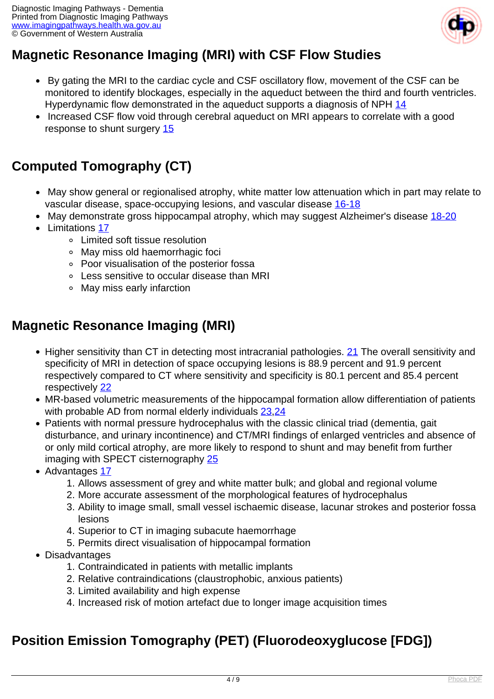

# **Magnetic Resonance Imaging (MRI) with CSF Flow Studies**

- By gating the MRI to the cardiac cycle and CSF oscillatory flow, movement of the CSF can be monitored to identify blockages, especially in the aqueduct between the third and fourth ventricles. Hyperdynamic flow demonstrated in the aqueduct supports a diagnosis of NPH [14](index.php?option=com_content&view=article&id=86&tab=references#14)
- Increased CSF flow void through cerebral aqueduct on MRI appears to correlate with a good response to shunt surgery [15](index.php?option=com_content&view=article&id=86&tab=references#15)

# **Computed Tomography (CT)**

- May show general or regionalised atrophy, white matter low attenuation which in part may relate to vascular disease, space-occupying lesions, and vascular disease [16-18](index.php?option=com_content&view=article&id=86&tab=references#16)
- May demonstrate gross hippocampal atrophy, which may suggest Alzheimer's disease [18-20](index.php?option=com_content&view=article&id=86&tab=references#18)
- Limitations [17](index.php?option=com_content&view=article&id=86&tab=references#17)
	- Limited soft tissue resolution
	- May miss old haemorrhagic foci
	- Poor visualisation of the posterior fossa
	- Less sensitive to occular disease than MRI
	- May miss early infarction

#### **Magnetic Resonance Imaging (MRI)**

- Higher sensitivity than CT in detecting most intracranial pathologies. [21](index.php?option=com_content&view=article&id=86&tab=references#21) The overall sensitivity and specificity of MRI in detection of space occupying lesions is 88.9 percent and 91.9 percent respectively compared to CT where sensitivity and specificity is 80.1 percent and 85.4 percent respectively [22](index.php?option=com_content&view=article&id=86&tab=references#22)
- MR-based volumetric measurements of the hippocampal formation allow differentiation of patients with probable AD from normal elderly individuals [23,](index.php?option=com_content&view=article&id=86&tab=references#23)[24](index.php?option=com_content&view=article&id=86&tab=references#24)
- Patients with normal pressure hydrocephalus with the classic clinical triad (dementia, gait disturbance, and urinary incontinence) and CT/MRI findings of enlarged ventricles and absence of or only mild cortical atrophy, are more likely to respond to shunt and may benefit from further imaging with SPECT cisternography [25](index.php?option=com_content&view=article&id=86&tab=references#25)
- Advantages [17](index.php?option=com_content&view=article&id=86&tab=references#17)
	- 1. Allows assessment of grey and white matter bulk; and global and regional volume
	- 2. More accurate assessment of the morphological features of hydrocephalus
	- 3. Ability to image small, small vessel ischaemic disease, lacunar strokes and posterior fossa lesions
	- 4. Superior to CT in imaging subacute haemorrhage
	- 5. Permits direct visualisation of hippocampal formation
- Disadvantages
	- 1. Contraindicated in patients with metallic implants
	- 2. Relative contraindications (claustrophobic, anxious patients)
	- 3. Limited availability and high expense
	- 4. Increased risk of motion artefact due to longer image acquisition times

### **Position Emission Tomography (PET) (Fluorodeoxyglucose [FDG])**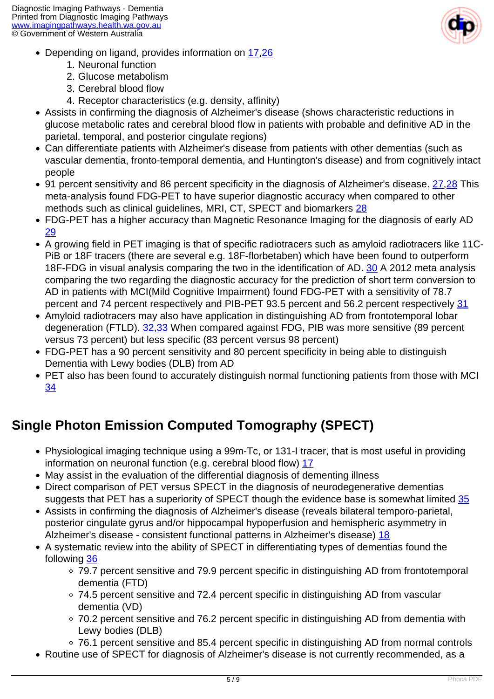

- Depending on ligand, provides information on [17](index.php?option=com_content&view=article&id=86&tab=references#17),[26](index.php?option=com_content&view=article&id=86&tab=references#26)
	- 1. Neuronal function
	- 2. Glucose metabolism
	- 3. Cerebral blood flow
	- 4. Receptor characteristics (e.g. density, affinity)
- Assists in confirming the diagnosis of Alzheimer's disease (shows characteristic reductions in glucose metabolic rates and cerebral blood flow in patients with probable and definitive AD in the parietal, temporal, and posterior cingulate regions)
- Can differentiate patients with Alzheimer's disease from patients with other dementias (such as vascular dementia, fronto-temporal dementia, and Huntington's disease) and from cognitively intact people
- 91 percent sensitivity and 86 percent specificity in the diagnosis of Alzheimer's disease. [27,](index.php?option=com_content&view=article&id=86&tab=references#27)[28](index.php?option=com_content&view=article&id=86&tab=references#28) This meta-analysis found FDG-PET to have superior diagnostic accuracy when compared to other methods such as clinical guidelines, MRI, CT, SPECT and biomarkers [28](index.php?option=com_content&view=article&id=86&tab=references#28)
- FDG-PET has a higher accuracy than Magnetic Resonance Imaging for the diagnosis of early AD [29](index.php?option=com_content&view=article&id=86&tab=references#29)
- A growing field in PET imaging is that of specific radiotracers such as amyloid radiotracers like 11C-PiB or 18F tracers (there are several e.g. 18F-florbetaben) which have been found to outperform 18F-FDG in visual analysis comparing the two in the identification of AD. [30](index.php?option=com_content&view=article&id=86&tab=references#30) A 2012 meta analysis comparing the two regarding the diagnostic accuracy for the prediction of short term conversion to AD in patients with MCI(Mild Cognitive Impairment) found FDG-PET with a sensitivity of 78.7 percent and 74 percent respectively and PIB-PET 93.5 percent and 56.2 percent respectively [31](index.php?option=com_content&view=article&id=86&tab=references#31)
- Amyloid radiotracers may also have application in distinguishing AD from frontotemporal lobar degeneration (FTLD). [32,](index.php?option=com_content&view=article&id=86&tab=references#32)[33](index.php?option=com_content&view=article&id=86&tab=references#33) When compared against FDG, PIB was more sensitive (89 percent versus 73 percent) but less specific (83 percent versus 98 percent)
- FDG-PET has a 90 percent sensitivity and 80 percent specificity in being able to distinguish Dementia with Lewy bodies (DLB) from AD
- PET also has been found to accurately distinguish normal functioning patients from those with MCI [34](index.php?option=com_content&view=article&id=86&tab=references#34)

# **Single Photon Emission Computed Tomography (SPECT)**

- Physiological imaging technique using a 99m-Tc, or 131-I tracer, that is most useful in providing information on neuronal function (e.g. cerebral blood flow) [17](index.php?option=com_content&view=article&id=86&tab=references#17)
- May assist in the evaluation of the differential diagnosis of dementing illness
- Direct comparison of PET versus SPECT in the diagnosis of neurodegenerative dementias suggests that PET has a superiority of SPECT though the evidence base is somewhat limited [35](index.php?option=com_content&view=article&id=86&tab=references#35)
- Assists in confirming the diagnosis of Alzheimer's disease (reveals bilateral temporo-parietal, posterior cingulate gyrus and/or hippocampal hypoperfusion and hemispheric asymmetry in Alzheimer's disease - consistent functional patterns in Alzheimer's disease) [18](index.php?option=com_content&view=article&id=86&tab=references#18)
- A systematic review into the ability of SPECT in differentiating types of dementias found the following [36](index.php?option=com_content&view=article&id=86&tab=references#36)
	- 79.7 percent sensitive and 79.9 percent specific in distinguishing AD from frontotemporal dementia (FTD)
	- 74.5 percent sensitive and 72.4 percent specific in distinguishing AD from vascular dementia (VD)
	- 70.2 percent sensitive and 76.2 percent specific in distinguishing AD from dementia with Lewy bodies (DLB)
	- 76.1 percent sensitive and 85.4 percent specific in distinguishing AD from normal controls
- Routine use of SPECT for diagnosis of Alzheimer's disease is not currently recommended, as a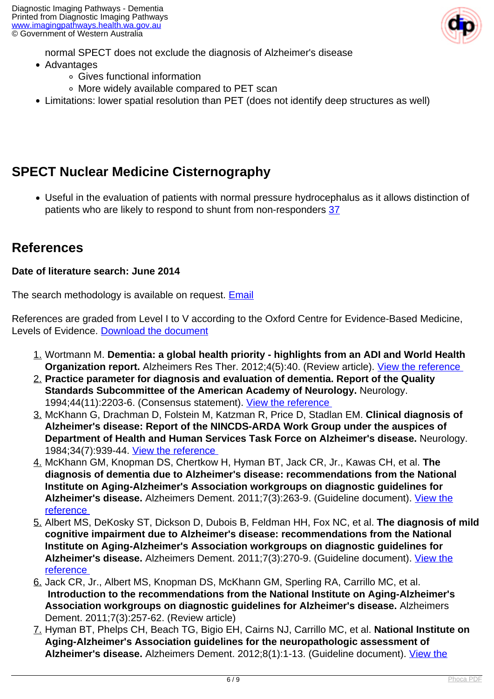

normal SPECT does not exclude the diagnosis of Alzheimer's disease

- Advantages
	- Gives functional information
	- More widely available compared to PET scan
- Limitations: lower spatial resolution than PET (does not identify deep structures as well)

# **SPECT Nuclear Medicine Cisternography**

Useful in the evaluation of patients with normal pressure hydrocephalus as it allows distinction of patients who are likely to respond to shunt from non-responders [37](index.php?option=com_content&view=article&id=86&tab=references#37)

#### **References**

#### **Date of literature search: June 2014**

The search methodology is available on request. [Email](index.php/contact-us)

References are graded from Level I to V according to the Oxford Centre for Evidence-Based Medicine, Levels of Evidence. [Download the document](http://www.cebm.net/wp-content/uploads/2014/06/CEBM-Levels-of-Evidence-2.1.pdf)

- 1. Wortmann M. **Dementia: a global health priority highlights from an ADI and World Health Organization report.** Alzheimers Res Ther. 2012;4(5):40. (Review article). *View the reference*
- 2. **Practice parameter for diagnosis and evaluation of dementia. Report of the Quality Standards Subcommittee of the American Academy of Neurology.** Neurology. 1994;44(11):2203-6. (Consensus statement). [View the reference](http://www.ncbi.nlm.nih.gov/pubmed/7969988)
- 3. McKhann G, Drachman D, Folstein M, Katzman R, Price D, Stadlan EM. **Clinical diagnosis of Alzheimer's disease: Report of the NINCDS-ARDA Work Group under the auspices of Department of Health and Human Services Task Force on Alzheimer's disease.** Neurology. 1984;34(7):939-44. [View the reference](http://www.ncbi.nlm.nih.gov/pubmed/6610841)
- 4. McKhann GM, Knopman DS, Chertkow H, Hyman BT, Jack CR, Jr., Kawas CH, et al. **The diagnosis of dementia due to Alzheimer's disease: recommendations from the National Institute on Aging-Alzheimer's Association workgroups on diagnostic guidelines for Alzheimer's disease.** Alzheimers Dement. 2011;7(3):263-9. (Guideline document). [View the](http://www.ncbi.nlm.nih.gov/pubmed/21514250) [reference](http://www.ncbi.nlm.nih.gov/pubmed/21514250)
- 5. Albert MS, DeKosky ST, Dickson D, Dubois B, Feldman HH, Fox NC, et al. **The diagnosis of mild cognitive impairment due to Alzheimer's disease: recommendations from the National Institute on Aging-Alzheimer's Association workgroups on diagnostic guidelines for Alzheimer's disease.** Alzheimers Dement. 2011;7(3):270-9. (Guideline document). [View the](http://www.ncbi.nlm.nih.gov/pubmed/21514249) [reference](http://www.ncbi.nlm.nih.gov/pubmed/21514249)
- 6. Jack CR, Jr., Albert MS, Knopman DS, McKhann GM, Sperling RA, Carrillo MC, et al.  **Introduction to the recommendations from the National Institute on Aging-Alzheimer's Association workgroups on diagnostic guidelines for Alzheimer's disease.** Alzheimers Dement. 2011;7(3):257-62. (Review article)
- 7. Hyman BT, Phelps CH, Beach TG, Bigio EH, Cairns NJ, Carrillo MC, et al. **National Institute on Aging-Alzheimer's Association guidelines for the neuropathologic assessment of Alzheimer's disease.** Alzheimers Dement. 2012;8(1):1-13. (Guideline document). [View the](http://www.ncbi.nlm.nih.gov/pubmed/22265587)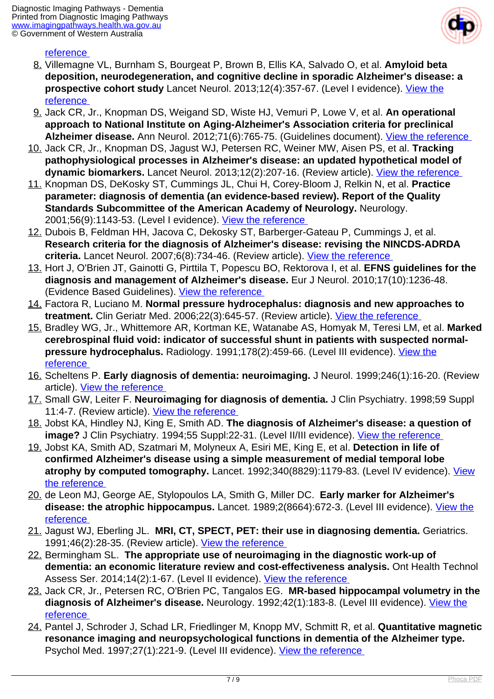

#### reference

- 8. Villemagne VL, Burnham S, Bourgeat P, Brown B, Ellis KA, Salvado O, et al. **Amyloid beta deposition, neurodegeneration, and cognitive decline in sporadic Alzheimer's disease: a prospective cohort study** Lancet Neurol. 2013;12(4):357-67. (Level I evidence). [View the](http://www.ncbi.nlm.nih.gov/pubmed/23477989) [reference](http://www.ncbi.nlm.nih.gov/pubmed/23477989)
- 9. Jack CR, Jr., Knopman DS, Weigand SD, Wiste HJ, Vemuri P, Lowe V, et al. **An operational approach to National Institute on Aging-Alzheimer's Association criteria for preclinical Alzheimer disease.** Ann Neurol. 2012;71(6):765-75. (Guidelines document). [View the reference](http://www.ncbi.nlm.nih.gov/pubmed/22488240)
- 10. Jack CR, Jr., Knopman DS, Jagust WJ, Petersen RC, Weiner MW, Aisen PS, et al. **Tracking pathophysiological processes in Alzheimer's disease: an updated hypothetical model of** dynamic biomarkers. Lancet Neurol. 2013;12(2):207-16. (Review article). View the reference
- 11. Knopman DS, DeKosky ST, Cummings JL, Chui H, Corey-Bloom J, Relkin N, et al. **Practice parameter: diagnosis of dementia (an evidence-based review). Report of the Quality Standards Subcommittee of the American Academy of Neurology.** Neurology. 2001;56(9):1143-53. (Level I evidence). View the reference
- 12. Dubois B, Feldman HH, Jacova C, Dekosky ST, Barberger-Gateau P, Cummings J, et al. **Research criteria for the diagnosis of Alzheimer's disease: revising the NINCDS-ADRDA criteria.** Lancet Neurol. 2007;6(8):734-46. (Review article). [View the reference](http://www.ncbi.nlm.nih.gov/pubmed/17616482)
- 13. Hort J, O'Brien JT, Gainotti G, Pirttila T, Popescu BO, Rektorova I, et al. **EFNS guidelines for the diagnosis and management of Alzheimer's disease.** Eur J Neurol. 2010;17(10):1236-48. (Evidence Based Guidelines). View the reference
- 14. Factora R, Luciano M. **Normal pressure hydrocephalus: diagnosis and new approaches to treatment.** Clin Geriatr Med. 2006;22(3):645-57. (Review article). [View the reference](http://www.ncbi.nlm.nih.gov/pubmed/16860251)
- 15. Bradley WG, Jr., Whittemore AR, Kortman KE, Watanabe AS, Homyak M, Teresi LM, et al. **Marked cerebrospinal fluid void: indicator of successful shunt in patients with suspected normalpressure hydrocephalus.** Radiology. 1991;178(2):459-66. (Level III evidence). [View the](http://www.ncbi.nlm.nih.gov/pubmed/1987609) [reference](http://www.ncbi.nlm.nih.gov/pubmed/1987609)
- 16. Scheltens P. **Early diagnosis of dementia: neuroimaging.** J Neurol. 1999;246(1):16-20. (Review article). [View the reference](http://www.ncbi.nlm.nih.gov/pubmed/9987709)
- 17. Small GW, Leiter F. **Neuroimaging for diagnosis of dementia.** J Clin Psychiatry. 1998;59 Suppl 11:4-7. (Review article). View the reference
- 18. Jobst KA, Hindley NJ, King E, Smith AD. **The diagnosis of Alzheimer's disease: a question of image?** J Clin Psychiatry. 1994;55 Suppl:22-31. (Level II/III evidence). [View the reference](http://www.ncbi.nlm.nih.gov/pubmed/7989291)
- 19. Jobst KA, Smith AD, Szatmari M, Molyneux A, Esiri ME, King E, et al. **Detection in life of confirmed Alzheimer's disease using a simple measurement of medial temporal lobe atrophy by computed tomography.** Lancet. 1992;340(8829):1179-83. (Level IV evidence). [View](http://www.ncbi.nlm.nih.gov/pubmed/1359259) [the reference](http://www.ncbi.nlm.nih.gov/pubmed/1359259)
- 20. de Leon MJ, George AE, Stylopoulos LA, Smith G, Miller DC. **Early marker for Alzheimer's disease: the atrophic hippocampus.** Lancet. 1989;2(8664):672-3. (Level III evidence). [View the](http://www.ncbi.nlm.nih.gov/pubmed/2570916) [reference](http://www.ncbi.nlm.nih.gov/pubmed/2570916)
- 21. Jagust WJ, Eberling JL. **MRI, CT, SPECT, PET: their use in diagnosing dementia.** Geriatrics. 1991;46(2):28-35. (Review article). [View the reference](http://www.ncbi.nlm.nih.gov/pubmed/1991619)
- 22. Bermingham SL. **The appropriate use of neuroimaging in the diagnostic work-up of dementia: an economic literature review and cost-effectiveness analysis.** Ont Health Technol Assess Ser. 2014;14(2):1-67. (Level II evidence). [View the reference](http://www.ncbi.nlm.nih.gov/pubmed/24592297)
- 23. Jack CR, Jr., Petersen RC, O'Brien PC, Tangalos EG. **MR-based hippocampal volumetry in the diagnosis of Alzheimer's disease.** Neurology. 1992;42(1):183-8. (Level III evidence). [View the](http://www.ncbi.nlm.nih.gov/pubmed/1734300) [reference](http://www.ncbi.nlm.nih.gov/pubmed/1734300)
- 24. Pantel J, Schroder J, Schad LR, Friedlinger M, Knopp MV, Schmitt R, et al. **Quantitative magnetic resonance imaging and neuropsychological functions in dementia of the Alzheimer type.** Psychol Med. 1997;27(1):221-9. (Level III evidence). View the reference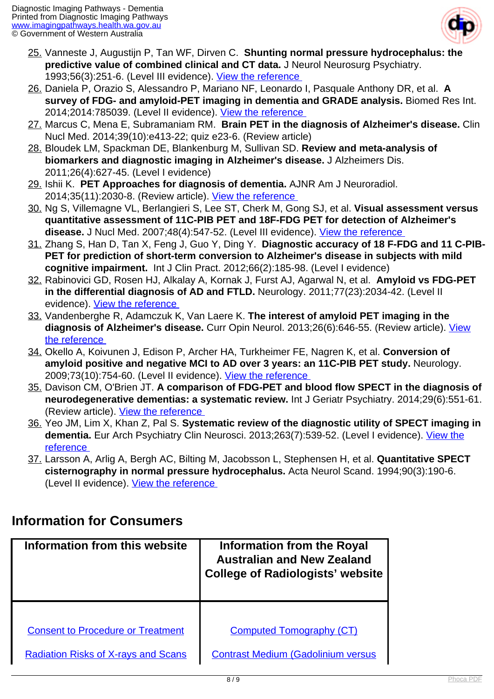

- 25. Vanneste J, Augustijn P, Tan WF, Dirven C. **Shunting normal pressure hydrocephalus: the predictive value of combined clinical and CT data.** J Neurol Neurosurg Psychiatry. 1993;56(3):251-6. (Level III evidence). [View the reference](http://www.ncbi.nlm.nih.gov/pubmed/8459240)
- 26. Daniela P, Orazio S, Alessandro P, Mariano NF, Leonardo I, Pasquale Anthony DR, et al. **A survey of FDG- and amyloid-PET imaging in dementia and GRADE analysis.** Biomed Res Int. 2014;2014:785039. (Level II evidence). [View the reference](http://www.ncbi.nlm.nih.gov/pubmed/24772437)
- 27. Marcus C, Mena E, Subramaniam RM. **Brain PET in the diagnosis of Alzheimer's disease.** Clin Nucl Med. 2014;39(10):e413-22; quiz e23-6. (Review article)
- 28. Bloudek LM, Spackman DE, Blankenburg M, Sullivan SD. **Review and meta-analysis of biomarkers and diagnostic imaging in Alzheimer's disease.** J Alzheimers Dis. 2011;26(4):627-45. (Level I evidence)
- 29. Ishii K. **PET Approaches for diagnosis of dementia.** AJNR Am J Neuroradiol. 2014;35(11):2030-8. (Review article). [View the reference](http://www.ncbi.nlm.nih.gov/pubmed/23945233)
- 30. Ng S, Villemagne VL, Berlangieri S, Lee ST, Cherk M, Gong SJ, et al. **Visual assessment versus quantitative assessment of 11C-PIB PET and 18F-FDG PET for detection of Alzheimer's disease.** J Nucl Med. 2007;48(4):547-52. (Level III evidence). [View the reference](http://www.ncbi.nlm.nih.gov/pubmed/17401090)
- 31. Zhang S, Han D, Tan X, Feng J, Guo Y, Ding Y. **Diagnostic accuracy of 18 F-FDG and 11 C-PIB-PET for prediction of short-term conversion to Alzheimer's disease in subjects with mild cognitive impairment.** Int J Clin Pract. 2012;66(2):185-98. (Level I evidence)
- 32. Rabinovici GD, Rosen HJ, Alkalay A, Kornak J, Furst AJ, Agarwal N, et al. **Amyloid vs FDG-PET in the differential diagnosis of AD and FTLD.** Neurology. 2011;77(23):2034-42. (Level II evidence). [View the reference](http://www.ncbi.nlm.nih.gov/pubmed/22131541)
- 33. Vandenberghe R, Adamczuk K, Van Laere K. **The interest of amyloid PET imaging in the diagnosis of Alzheimer's disease.** Curr Opin Neurol. 2013;26(6):646-55. (Review article). [View](http://www.ncbi.nlm.nih.gov/pubmed/24145484) [the reference](http://www.ncbi.nlm.nih.gov/pubmed/24145484)
- 34. Okello A, Koivunen J, Edison P, Archer HA, Turkheimer FE, Nagren K, et al. **Conversion of amyloid positive and negative MCI to AD over 3 years: an 11C-PIB PET study.** Neurology. 2009;73(10):754-60. (Level II evidence). View the reference
- 35. Davison CM, O'Brien JT. **A comparison of FDG-PET and blood flow SPECT in the diagnosis of neurodegenerative dementias: a systematic review.** Int J Geriatr Psychiatry. 2014;29(6):551-61. (Review article). View the reference
- 36. Yeo JM, Lim X, Khan Z, Pal S. **Systematic review of the diagnostic utility of SPECT imaging in** dementia. Eur Arch Psychiatry Clin Neurosci. 2013;263(7):539-52. (Level I evidence). [View the](http://www.ncbi.nlm.nih.gov/pubmed/23917803) [reference](http://www.ncbi.nlm.nih.gov/pubmed/23917803)
- 37. Larsson A, Arlig A, Bergh AC, Bilting M, Jacobsson L, Stephensen H, et al. **Quantitative SPECT cisternography in normal pressure hydrocephalus.** Acta Neurol Scand. 1994;90(3):190-6. (Level II evidence). View the reference

#### **Information for Consumers**

| Information from this website              | <b>Information from the Royal</b><br><b>Australian and New Zealand</b><br><b>College of Radiologists' website</b> |
|--------------------------------------------|-------------------------------------------------------------------------------------------------------------------|
|                                            |                                                                                                                   |
| <b>Consent to Procedure or Treatment</b>   | <b>Computed Tomography (CT)</b>                                                                                   |
| <b>Radiation Risks of X-rays and Scans</b> | <b>Contrast Medium (Gadolinium versus</b>                                                                         |